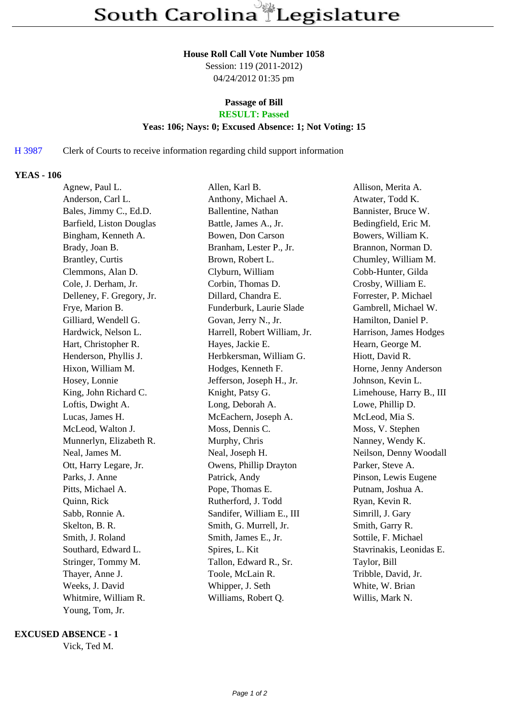#### **House Roll Call Vote Number 1058**

Session: 119 (2011-2012) 04/24/2012 01:35 pm

### **Passage of Bill**

# **RESULT: Passed**

## **Yeas: 106; Nays: 0; Excused Absence: 1; Not Voting: 15**

#### H 3987 Clerk of Courts to receive information regarding child support information

#### **YEAS - 106**

| Agnew, Paul L.            | Allen, Karl B.               | Allison, Merita A.       |
|---------------------------|------------------------------|--------------------------|
| Anderson, Carl L.         | Anthony, Michael A.          | Atwater, Todd K.         |
| Bales, Jimmy C., Ed.D.    | Ballentine, Nathan           | Bannister, Bruce W.      |
| Barfield, Liston Douglas  | Battle, James A., Jr.        | Bedingfield, Eric M.     |
| Bingham, Kenneth A.       | Bowen, Don Carson            | Bowers, William K.       |
| Brady, Joan B.            | Branham, Lester P., Jr.      | Brannon, Norman D.       |
| Brantley, Curtis          | Brown, Robert L.             | Chumley, William M.      |
| Clemmons, Alan D.         | Clyburn, William             | Cobb-Hunter, Gilda       |
| Cole, J. Derham, Jr.      | Corbin, Thomas D.            | Crosby, William E.       |
| Delleney, F. Gregory, Jr. | Dillard, Chandra E.          | Forrester, P. Michael    |
| Frye, Marion B.           | Funderburk, Laurie Slade     | Gambrell, Michael W.     |
| Gilliard, Wendell G.      | Govan, Jerry N., Jr.         | Hamilton, Daniel P.      |
| Hardwick, Nelson L.       | Harrell, Robert William, Jr. | Harrison, James Hodges   |
| Hart, Christopher R.      | Hayes, Jackie E.             | Hearn, George M.         |
| Henderson, Phyllis J.     | Herbkersman, William G.      | Hiott, David R.          |
| Hixon, William M.         | Hodges, Kenneth F.           | Horne, Jenny Anderson    |
| Hosey, Lonnie             | Jefferson, Joseph H., Jr.    | Johnson, Kevin L.        |
| King, John Richard C.     | Knight, Patsy G.             | Limehouse, Harry B., III |
| Loftis, Dwight A.         | Long, Deborah A.             | Lowe, Phillip D.         |
| Lucas, James H.           | McEachern, Joseph A.         | McLeod, Mia S.           |
| McLeod, Walton J.         | Moss, Dennis C.              | Moss, V. Stephen         |
| Munnerlyn, Elizabeth R.   | Murphy, Chris                | Nanney, Wendy K.         |
| Neal, James M.            | Neal, Joseph H.              | Neilson, Denny Woodall   |
| Ott, Harry Legare, Jr.    | Owens, Phillip Drayton       | Parker, Steve A.         |
| Parks, J. Anne            | Patrick, Andy                | Pinson, Lewis Eugene     |
| Pitts, Michael A.         | Pope, Thomas E.              | Putnam, Joshua A.        |
| Quinn, Rick               | Rutherford, J. Todd          | Ryan, Kevin R.           |
| Sabb, Ronnie A.           | Sandifer, William E., III    | Simrill, J. Gary         |
| Skelton, B. R.            | Smith, G. Murrell, Jr.       | Smith, Garry R.          |
| Smith, J. Roland          | Smith, James E., Jr.         | Sottile, F. Michael      |
| Southard, Edward L.       | Spires, L. Kit               | Stavrinakis, Leonidas E. |
| Stringer, Tommy M.        | Tallon, Edward R., Sr.       | Taylor, Bill             |
| Thayer, Anne J.           | Toole, McLain R.             | Tribble, David, Jr.      |
| Weeks, J. David           | Whipper, J. Seth             | White, W. Brian          |
| Whitmire, William R.      | Williams, Robert Q.          | Willis, Mark N.          |
| Young, Tom, Jr.           |                              |                          |

#### **EXCUSED ABSENCE - 1**

Vick, Ted M.